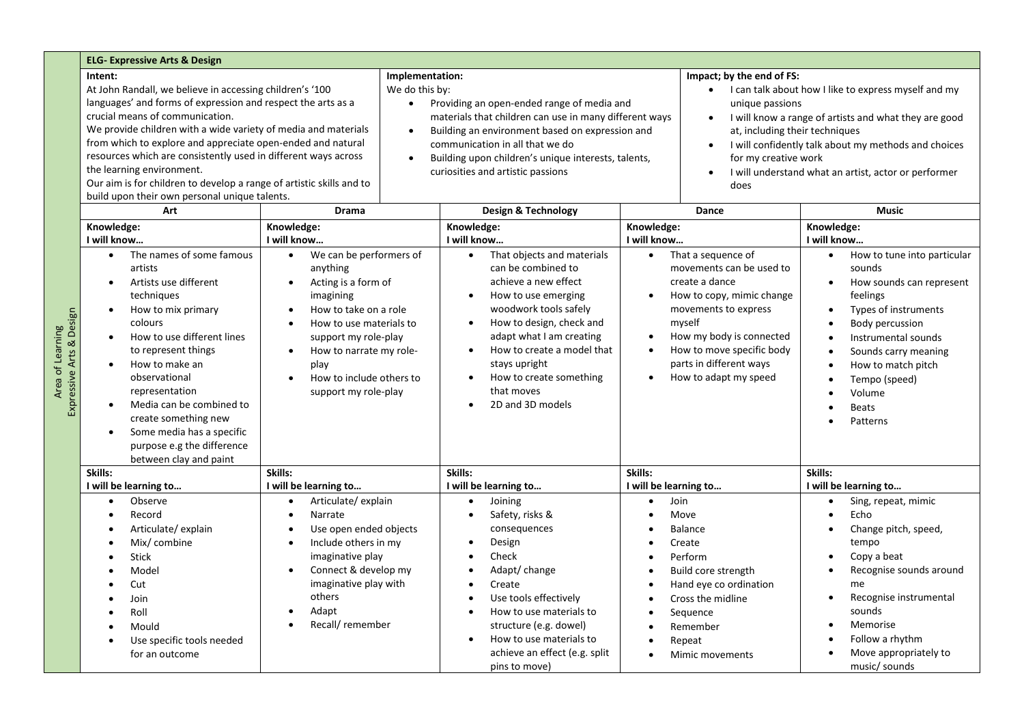|                             | <b>ELG- Expressive Arts &amp; Design</b>                                                                                                                                                                                                                                                                                                                                                                                                                                                                                        |                                                                                                                                                                                                                                                                                                                             |                                                                                                                                                                                                                                                                                                                                                                                            |                                                                                                                                                                                                                                                                           |                                                                                                                                                                                                                                                                                                                                                                                                        |  |  |  |  |
|-----------------------------|---------------------------------------------------------------------------------------------------------------------------------------------------------------------------------------------------------------------------------------------------------------------------------------------------------------------------------------------------------------------------------------------------------------------------------------------------------------------------------------------------------------------------------|-----------------------------------------------------------------------------------------------------------------------------------------------------------------------------------------------------------------------------------------------------------------------------------------------------------------------------|--------------------------------------------------------------------------------------------------------------------------------------------------------------------------------------------------------------------------------------------------------------------------------------------------------------------------------------------------------------------------------------------|---------------------------------------------------------------------------------------------------------------------------------------------------------------------------------------------------------------------------------------------------------------------------|--------------------------------------------------------------------------------------------------------------------------------------------------------------------------------------------------------------------------------------------------------------------------------------------------------------------------------------------------------------------------------------------------------|--|--|--|--|
|                             | Intent:<br>At John Randall, we believe in accessing children's '100<br>languages' and forms of expression and respect the arts as a<br>crucial means of communication.<br>We provide children with a wide variety of media and materials<br>from which to explore and appreciate open-ended and natural<br>resources which are consistently used in different ways across<br>the learning environment.<br>Our aim is for children to develop a range of artistic skills and to<br>build upon their own personal unique talents. |                                                                                                                                                                                                                                                                                                                             | Implementation:<br>We do this by:<br>Providing an open-ended range of media and<br>$\bullet$<br>materials that children can use in many different ways<br>Building an environment based on expression and<br>$\bullet$<br>communication in all that we do<br>Building upon children's unique interests, talents,<br>$\bullet$<br>curiosities and artistic passions                         | $\bullet$<br>does                                                                                                                                                                                                                                                         | Impact; by the end of FS:<br>I can talk about how I like to express myself and my<br>unique passions<br>I will know a range of artists and what they are good<br>at, including their techniques<br>I will confidently talk about my methods and choices<br>for my creative work<br>I will understand what an artist, actor or performer                                                                |  |  |  |  |
| Arts & Design<br>Expressive | Art                                                                                                                                                                                                                                                                                                                                                                                                                                                                                                                             | <b>Drama</b>                                                                                                                                                                                                                                                                                                                | Design & Technology                                                                                                                                                                                                                                                                                                                                                                        | Dance                                                                                                                                                                                                                                                                     | <b>Music</b>                                                                                                                                                                                                                                                                                                                                                                                           |  |  |  |  |
|                             | Knowledge:<br>I will know<br>The names of some famous<br>$\bullet$<br>artists<br>Artists use different<br>$\bullet$<br>techniques<br>How to mix primary<br>$\bullet$<br>colours<br>How to use different lines<br>to represent things<br>How to make an<br>observational<br>representation<br>Media can be combined to<br>create something new<br>Some media has a specific<br>purpose e.g the difference<br>between clay and paint                                                                                              | Knowledge:<br>I will know<br>We can be performers of<br>$\bullet$<br>anything<br>Acting is a form of<br>$\bullet$<br>imagining<br>How to take on a role<br>$\bullet$<br>How to use materials to<br>support my role-play<br>How to narrate my role-<br>$\bullet$<br>play<br>How to include others to<br>support my role-play | Knowledge:<br>I will know<br>That objects and materials<br>$\bullet$<br>can be combined to<br>achieve a new effect<br>How to use emerging<br>$\bullet$<br>woodwork tools safely<br>How to design, check and<br>$\bullet$<br>adapt what I am creating<br>How to create a model that<br>$\bullet$<br>stays upright<br>How to create something<br>$\bullet$<br>that moves<br>2D and 3D models | Knowledge:<br>I will know<br>That a sequence of<br>movements can be used to<br>create a dance<br>How to copy, mimic change<br>movements to express<br>myself<br>How my body is connected<br>How to move specific body<br>parts in different ways<br>How to adapt my speed | Knowledge:<br>I will know<br>How to tune into particular<br>$\bullet$<br>sounds<br>How sounds can represent<br>$\bullet$<br>feelings<br>Types of instruments<br>$\bullet$<br>Body percussion<br>$\bullet$<br>Instrumental sounds<br>$\bullet$<br>Sounds carry meaning<br>$\bullet$<br>How to match pitch<br>$\bullet$<br>Tempo (speed)<br>$\bullet$<br>Volume<br>$\bullet$<br><b>Beats</b><br>Patterns |  |  |  |  |
|                             | Skills:                                                                                                                                                                                                                                                                                                                                                                                                                                                                                                                         | Skills:                                                                                                                                                                                                                                                                                                                     | Skills:                                                                                                                                                                                                                                                                                                                                                                                    | Skills:                                                                                                                                                                                                                                                                   | Skills:                                                                                                                                                                                                                                                                                                                                                                                                |  |  |  |  |
|                             | I will be learning to                                                                                                                                                                                                                                                                                                                                                                                                                                                                                                           | I will be learning to                                                                                                                                                                                                                                                                                                       | I will be learning to                                                                                                                                                                                                                                                                                                                                                                      | I will be learning to                                                                                                                                                                                                                                                     | I will be learning to                                                                                                                                                                                                                                                                                                                                                                                  |  |  |  |  |
|                             | Observe<br>$\bullet$<br>Record<br>$\bullet$<br>Articulate/ explain<br>Mix/ combine<br><b>Stick</b><br>Model<br>Cut<br>Join<br>Roll                                                                                                                                                                                                                                                                                                                                                                                              | Articulate/ explain<br>Narrate<br>$\bullet$<br>Use open ended objects<br>Include others in my<br>$\bullet$<br>imaginative play<br>Connect & develop my<br>$\bullet$<br>imaginative play with<br>others<br>Adapt                                                                                                             | Joining<br>$\bullet$<br>Safety, risks &<br>$\bullet$<br>consequences<br>Design<br>$\bullet$<br>Check<br>Adapt/change<br>$\bullet$<br>Create<br>$\bullet$<br>Use tools effectively<br>How to use materials to                                                                                                                                                                               | Join<br>Move<br><b>Balance</b><br>Create<br>Perform<br>Build core strength<br>Hand eye co ordination<br>Cross the midline<br>Sequence                                                                                                                                     | Sing, repeat, mimic<br>$\bullet$<br>Echo<br>$\bullet$<br>Change pitch, speed,<br>$\bullet$<br>tempo<br>Copy a beat<br>$\bullet$<br>Recognise sounds around<br>$\bullet$<br>me<br>Recognise instrumental<br>$\bullet$<br>sounds                                                                                                                                                                         |  |  |  |  |
|                             | Mould                                                                                                                                                                                                                                                                                                                                                                                                                                                                                                                           | Recall/remember                                                                                                                                                                                                                                                                                                             | structure (e.g. dowel)                                                                                                                                                                                                                                                                                                                                                                     | Remember                                                                                                                                                                                                                                                                  | Memorise<br>$\bullet$                                                                                                                                                                                                                                                                                                                                                                                  |  |  |  |  |

• How to use materials to achieve an effect (e.g. split • Repeat

• Mimic movements

• Follow a rhythm • Move appropriately to music/ sounds

pins to move)

• Mould • Use specific tools needed for an outcome

Area of Learning<br>ressive Arts & Design Area of Learning خ<br>تا